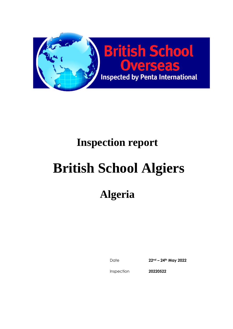

# **Inspection report**

# **British School Algiers**

# **Algeria**

Date **22nd – 24th May 2022**

Inspection

**20220522**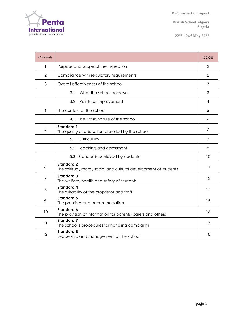Penta International

 **BSO inspection report**

**British School Algiers Algeria**

**22nd – 24th May 2022**

| Contents       |                                                                                        | page           |
|----------------|----------------------------------------------------------------------------------------|----------------|
| 1              | Purpose and scope of the inspection                                                    | $\overline{2}$ |
| 2              | Compliance with regulatory requirements                                                | 2              |
| 3              | Overall effectiveness of the school                                                    | 3              |
|                | 3.1<br>What the school does well                                                       | 3              |
|                | 3.2<br>Points for improvement                                                          | 4              |
| 4              | The context of the school                                                              | .5             |
|                | 4.1 The British nature of the school                                                   | 6              |
| 5              | <b>Standard 1</b><br>The quality of education provided by the school                   | 7              |
|                | Curriculum<br>5.1                                                                      | $\overline{7}$ |
|                | 5.2 Teaching and assessment                                                            | 9              |
|                | 5.3 Standards achieved by students                                                     | 10             |
| 6              | <b>Standard 2</b><br>The spiritual, moral, social and cultural development of students | 11             |
| $\overline{7}$ | <b>Standard 3</b><br>The welfare, health and safety of students                        | 12             |
| 8              | <b>Standard 4</b><br>The suitability of the proprietor and staff                       | 14             |
| 9              | <b>Standard 5</b><br>The premises and accommodation                                    | 15             |
| 10             | <b>Standard 6</b><br>The provision of information for parents, carers and others       | 16             |
| 11             | <b>Standard 7</b><br>The school's procedures for handling complaints                   | 17             |
| 12             | <b>Standard 8</b><br>Leadership and management of the school                           | 18             |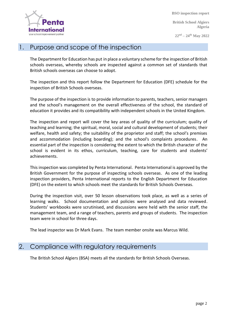Internati your school improvement partne

 **BSO inspection report**

**British School Algiers Algeria**

**22nd – 24th May 2022**

#### 1. Purpose and scope of the inspection

The Department for Education has put in place a voluntary scheme for the inspection of British schools overseas, whereby schools are inspected against a common set of standards that British schools overseas can choose to adopt.

The inspection and this report follow the Department for Education (DFE) schedule for the inspection of British Schools overseas.

The purpose of the inspection is to provide information to parents, teachers, senior managers and the school's management on the overall effectiveness of the school, the standard of education it provides and its compatibility with independent schools in the United Kingdom.

The inspection and report will cover the key areas of quality of the curriculum; quality of teaching and learning; the spiritual, moral, social and cultural development of students; their welfare, health and safety; the suitability of the proprietor and staff; the school's premises and accommodation (including boarding); and the school's complaints procedures. An essential part of the inspection is considering the extent to which the British character of the school is evident in its ethos, curriculum, teaching, care for students and students' achievements.

This inspection was completed by Penta International. Penta International is approved by the British Government for the purpose of inspecting schools overseas. As one of the leading inspection providers, Penta International reports to the English Department for Education (DFE) on the extent to which schools meet the standards for British Schools Overseas.

During the inspection visit, over 50 lesson observations took place, as well as a series of learning walks. School documentation and policies were analysed and data reviewed. Students' workbooks were scrutinised, and discussions were held with the senior staff, the management team, and a range of teachers, parents and groups of students. The inspection team were in school for three days.

The lead inspector was Dr Mark Evans. The team member onsite was Marcus Wild.

#### 2. Compliance with regulatory requirements

The British School Algiers (BSA) meets all the standards for British Schools Overseas.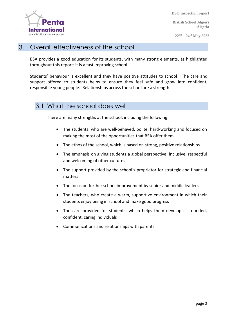**British School Algiers Algeria**

**22nd – 24th May 2022**



#### 3. Overall effectiveness of the school

BSA provides a good education for its students, with many strong elements, as highlighted throughout this report: it is a fast improving school.

Students' behaviour is excellent and they have positive attitudes to school. The care and support offered to students helps to ensure they feel safe and grow into confident, responsible young people. Relationships across the school are a strength.

#### 3.1 What the school does well

There are many strengths at the school, including the following:

- The students, who are well-behaved, polite, hard-working and focused on making the most of the opportunities that BSA offer them
- The ethos of the school, which is based on strong, positive relationships
- The emphasis on giving students a global perspective, inclusive, respectful and welcoming of other cultures
- The support provided by the school's proprietor for strategic and financial matters
- The focus on further school improvement by senior and middle leaders
- The teachers, who create a warm, supportive environment in which their students enjoy being in school and make good progress
- The care provided for students, which helps them develop as rounded, confident, caring individuals
- Communications and relationships with parents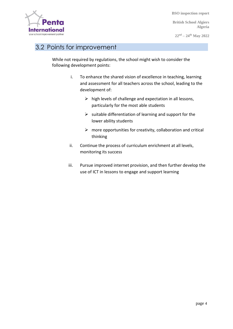**British School Algiers Algeria**

**22nd – 24th May 2022**



#### 3.2 Points for improvement

While not required by regulations, the school might wish to consider the following development points:

- i. To enhance the shared vision of excellence in teaching, learning and assessment for all teachers across the school, leading to the development of:
	- $\triangleright$  high levels of challenge and expectation in all lessons, particularly for the most able students
	- $\triangleright$  suitable differentiation of learning and support for the lower ability students
	- $\triangleright$  more opportunities for creativity, collaboration and critical thinking
- ii. Continue the process of curriculum enrichment at all levels, monitoring its success
- iii. Pursue improved internet provision, and then further develop the use of ICT in lessons to engage and support learning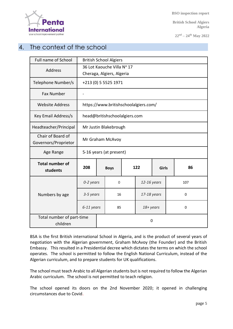

**British School Algiers Algeria**

**22nd – 24th May 2022**

### 4. The context of the school

| Full name of School                       | <b>British School Algiers</b>         |  |             |  |                     |  |     |    |
|-------------------------------------------|---------------------------------------|--|-------------|--|---------------------|--|-----|----|
| <b>Address</b>                            | 36 Lot Kaouche Villa Nº 17            |  |             |  |                     |  |     |    |
|                                           | Cheraga, Algiers, Algeria             |  |             |  |                     |  |     |    |
| Telephone Number/s                        | +213 (0) 5 5525 1971                  |  |             |  |                     |  |     |    |
| <b>Fax Number</b>                         |                                       |  |             |  |                     |  |     |    |
| <b>Website Address</b>                    | https://www.britishschoolalgiers.com/ |  |             |  |                     |  |     |    |
| Key Email Address/s                       | head@britishschoolalgiers.com         |  |             |  |                     |  |     |    |
| Headteacher/Principal                     | Mr Justin Blakebrough                 |  |             |  |                     |  |     |    |
| Chair of Board of<br>Governors/Proprietor | Mr Graham McAvoy                      |  |             |  |                     |  |     |    |
| Age Range                                 | 5-16 years (at present)               |  |             |  |                     |  |     |    |
| <b>Total number of</b><br>students        | 208                                   |  | <b>Boys</b> |  | 122<br><b>Girls</b> |  |     | 86 |
|                                           | 0-2 years                             |  | $\Omega$    |  | 12-16 years         |  | 107 |    |
| Numbers by age                            | 3-5 years                             |  | 16          |  | 17-18 years         |  | 0   |    |
|                                           | 6-11 years                            |  | 85          |  | 18+ years           |  | 0   |    |
| Total number of part-time<br>children     | 0                                     |  |             |  |                     |  |     |    |

BSA is the first British international School in Algeria, and is the product of several years of negotiation with the Algerian government, Graham McAvoy (the Founder) and the British Embassy. This resulted in a Presidential decree which dictates the terms on which the school operates. The school is permitted to follow the English National Curriculum, instead of the Algerian curriculum, and to prepare students for UK qualifications.

The school must teach Arabic to all Algerian students but is not required to follow the Algerian Arabic curriculum. The school is not permitted to teach religion.

The school opened its doors on the 2nd November 2020; it opened in challenging circumstances due to Covid.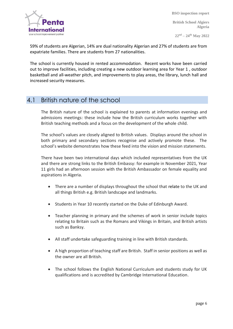

**British School Algiers Algeria**

**22nd – 24th May 2022**

59% of students are Algerian, 14% are dual nationality Algerian and 27% of students are from expatriate families. There are students from 27 nationalities.

The school is currently housed in rented accommodation. Recent works have been carried out to improve facilities, including creating a new outdoor learning area for Year 1 , outdoor basketball and all-weather pitch, and improvements to play areas, the library, lunch hall and increased security measures.

#### 4.1 British nature of the school

The British nature of the school is explained to parents at information evenings and admissions meetings: these include how the British curriculum works together with British teaching methods and a focus on the development of the whole child.

The school's values are closely aligned to British values. Displays around the school in both primary and secondary sections recognise and actively promote these. The school's website demonstrates how these feed into the vision and mission statements.

There have been two international days which included representatives from the UK and there are strong links to the British Embassy: for example in November 2021, Year 11 girls had an afternoon session with the British Ambassador on female equality and aspirations in Algeria.

- There are a number of displays throughout the school that relate to the UK and all things British e.g. British landscape and landmarks.
- Students in Year 10 recently started on the Duke of Edinburgh Award.
- Teacher planning in primary and the schemes of work in senior include topics relating to Britain such as the Romans and Vikings in Britain, and British artists such as Banksy.
- All staff undertake safeguarding training in line with British standards.
- A high proportion of teaching staff are British. Staff in senior positions as well as the owner are all British.
- The school follows the English National Curriculum and students study for UK qualifications and is accredited by Cambridge International Education.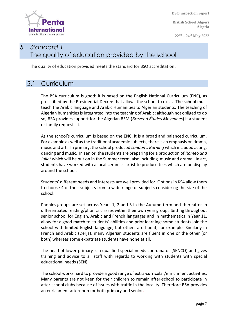

**British School Algiers Algeria**

**22nd – 24th May 2022**

# *5. Standard 1* The quality of education provided by the school

The quality of education provided meets the standard for BSO accreditation.

#### 5.1 Curriculum

The BSA curriculum is good: it is based on the English National Curriculum (ENC), as prescribed by the Presidential Decree that allows the school to exist. The school must teach the Arabic language and Arabic Humanities to Algerian students. The teaching of Algerian humanities is integrated into the teaching of Arabic: although not obliged to do so, BSA provides support for the Algerian BEM (*Brevet d'Études Moyennes*) if a student or family requests it.

As the school's curriculum is based on the ENC, it is a broad and balanced curriculum. For example as well as the traditional academic subjects, there is an emphasis on drama, music and art. In primary, the school produced *London's Burning* which included acting, dancing and music. In senior, the students are preparing for a production of *Romeo and Juliet* which will be put on in the Summer term, also including music and drama. In art, students have worked with a local ceramics artist to produce tiles which are on display around the school.

Students' different needs and interests are well provided for. Options in KS4 allow them to choose 4 of their subjects from a wide range of subjects considering the size of the school.

Phonics groups are set across Years 1, 2 and 3 in the Autumn term and thereafter in differentiated reading/phonics classes within their own year group. Setting throughout senior school for English, Arabic and French languages and in mathematics in Year 11, allow for a good match to students' abilities and prior learning: some students join the school with limited English language, but others are fluent, for example. Similarly in French and Arabic (Derja), many Algerian students are fluent in one or the other (or both) whereas some expatriate students have none at all.

The head of lower primary is a qualified special needs coordinator (SENCO) and gives training and advice to all staff with regards to working with students with special educational needs (SEN).

The school works hard to provide a good range of extra-curricular/enrichment activities. Many parents are not keen for their children to remain after-school to participate in after-school clubs because of issues with traffic in the locality. Therefore BSA provides an enrichment afternoon for both primary and senior.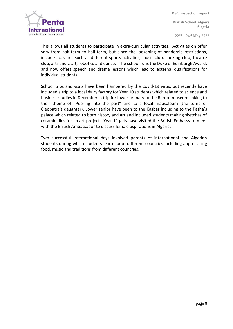

**22nd – 24th May 2022**

This allows all students to participate in extra-curricular activities. Activities on offer vary from half-term to half-term, but since the loosening of pandemic restrictions, include activities such as different sports activities, music club, cooking club, theatre club, arts and craft, robotics and dance. The school runs the Duke of Edinburgh Award, and now offers speech and drama lessons which lead to external qualifications for individual students.

School trips and visits have been hampered by the Covid-19 virus, but recently have included a trip to a local dairy factory for Year 10 students which related to science and business studies in December, a trip for lower primary to the Bardot museum linking to their theme of "Peering into the past" and to a local mausoleum (the tomb of Cleopatra's daughter). Lower senior have been to the Kasbar including to the Pasha's palace which related to both history and art and included students making sketches of ceramic tiles for an art project. Year 11 girls have visited the British Embassy to meet with the British Ambassador to discuss female aspirations in Algeria.

Two successful international days involved parents of international and Algerian students during which students learn about different countries including appreciating food, music and traditions from different countries.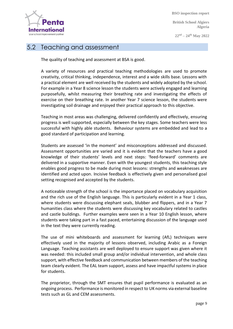

**British School Algiers Algeria**

**22nd – 24th May 2022**

#### 5.2 Teaching and assessment

The quality of teaching and assessment at BSA is good.

A variety of resources and practical teaching methodologies are used to promote creativity, critical thinking, independence, interest and a wide skills base. Lessons with a practical element are well received by the students and widely adopted by the school. For example in a Year 8 science lesson the students were actively engaged and learning purposefully, whilst measuring their breathing rate and investigating the effects of exercise on their breathing rate. In another Year 7 science lesson, the students were investigating soil drainage and enjoyed their practical approach to this objective.

Teaching in most areas was challenging, delivered confidently and effectively, ensuring progress is well supported, especially between the key stages. Some teachers were less successful with highly able students. Behaviour systems are embedded and lead to a good standard of participation and learning.

Students are assessed 'in the moment' and misconceptions addressed and discussed. Assessment opportunities are varied and it is evident that the teachers have a good knowledge of their students' levels and next steps: 'feed-forward' comments are delivered in a supportive manner. Even with the youngest students, this teaching style enables good progress to be made during most lessons: strengths and weaknesses are identified and acted upon. Incisive feedback is effectively given and personalised goal setting recognised and accepted by the students.

A noticeable strength of the school is the importance placed on vocabulary acquisition and the rich use of the English language. This is particularly evident in a Year 1 class, where students were discussing elephant seals, blubber and flippers, and in a Year 7 humanities class where the students were discussing key vocabulary related to castles and castle buildings. Further examples were seen in a Year 10 English lesson, where students were taking part in a fast paced, entertaining discussion of the language used in the text they were currently reading.

The use of mini whiteboards and assessment for learning (AfL) techniques were effectively used in the majority of lessons observed, including Arabic as a Foreign Language. Teaching assistants are well deployed to ensure support was given where it was needed: this included small group and/or individual intervention, and whole class support, with effective feedback and communication between members of the teaching team clearly evident. The EAL team support, assess and have impactful systems in place for students.

The proprietor, through the SMT ensures that pupil performance is evaluated as an ongoing process. Performance is monitored in respect to UK norms via external baseline tests such as GL and CEM assessments.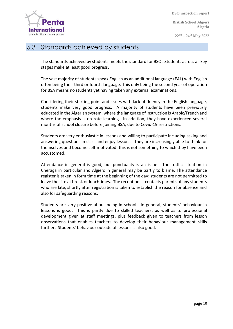

**British School Algiers Algeria**

**22nd – 24th May 2022**

#### 5.3 Standards achieved by students

The standards achieved by students meets the standard for BSO. Students across all key stages make at least good progress.

The vast majority of students speak English as an additional language (EAL) with English often being their third or fourth language. This only being the second year of operation for BSA means no students yet having taken any external examinations.

Considering their starting point and issues with lack of fluency in the English language, students make very good progress. A majority of students have been previously educated in the Algerian system, where the language of instruction is Arabic/French and where the emphasis is on rote learning. In addition, they have experienced several months of school closure before joining BSA, due to Covid-19 restrictions.

Students are very enthusiastic in lessons and willing to participate including asking and answering questions in class and enjoy lessons. They are increasingly able to think for themselves and become self-motivated: this is not something to which they have been accustomed.

Attendance in general is good, but punctuality is an issue. The traffic situation in Cheraga in particular and Algiers in general may be partly to blame. The attendance register is taken in form time at the beginning of the day: students are not permitted to leave the site at break or lunchtimes. The receptionist contacts parents of any students who are late, shortly after registration is taken to establish the reason for absence and also for safeguarding reasons.

Students are very positive about being in school. In general, students' behaviour in lessons is good. This is partly due to skilled teachers, as well as to professional development given at staff meetings, plus feedback given to teachers from lesson observations that enables teachers to develop their behaviour management skills further. Students' behaviour outside of lessons is also good.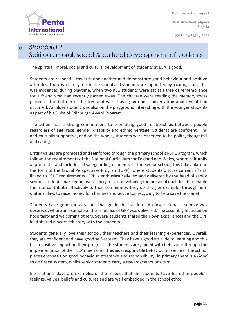

**British School Algiers Algeria**

**22nd – 24th May 2022**

# 6. *Standard 2* Spiritual, moral, social & cultural development of students

The spiritual, moral, social and cultural development of students at BSA is good.

Students are respectful towards one another and demonstrate good behaviour and positive attitudes. There is a family feel to the school and students are supported by a caring staff. This was evidenced during playtime, when two KS1 students were sat at a tree of remembrance for a friend who had recently passed away. The children were reading the memory rocks placed at the bottom of the tree and were having an open conversation about what had occurred. An older student was also on the playground interacting with the younger students as part of his Duke of Edinburgh Award Program.

The school has a strong commitment to promoting good relationships between people regardless of age, race, gender, disability and ethnic heritage. Students are confident, kind and mutually supportive, and on the whole, students were observed to be polite, thoughtful and caring.

British values are promoted and reinforced through the primary school´s PSHE program, which follows the requirements of the National Curriculum for England and Wales, where culturally appropriate, and includes all safeguarding elements. In the senior school, this takes place in the form of the Global Perspectives Program (GPP), where students discuss current affairs, linked to PSHE requirements. GPP is enthusiastically led and delivered by the head of senior school: students make good overall progress in developing the personal qualities that enable them to contribute effectively to their community. They do this (for example) through nonuniform days to raise money for charities and bottle top recycling to help save the planet.

Students have good moral values that guide their actions. An inspirational assembly was observed, where an example of the influence of GPP was delivered. The assembly focussed on hospitality and welcoming others. Several students shared their own experiences and the GPP lead shared a heart-felt story with the students.

Students generally love their school, their teachers and their learning experiences. Overall, they are confident and have good self-esteem. They have a good attitude to learning and this has a positive impact on their progress. The students are guided with behaviour through the implementation of the HELP mnemonic. This aids responsible behaviour in seniors. The school places emphasis on good behaviour, tolerance and responsibility: in primary there is a *Good to be Green* system, whilst senior students carry a rewards/sanctions card.

International days are examples of the respect that the students have for other people's feelings, values, beliefs and cultures and are well embedded in the school ethos.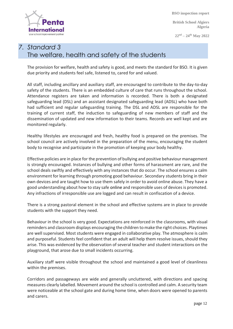terna your school improvement partn

 **BSO inspection report**

**British School Algiers Algeria**

**22nd – 24th May 2022**

# *7. Standard 3* The welfare, health and safety of the students

The provision for welfare, health and safety is good, and meets the standard for BSO. It is given due priority and students feel safe, listened to, cared for and valued.

All staff, including ancillary and auxiliary staff, are encouraged to contribute to the day-to-day safety of the students. There is an embedded culture of care that runs throughout the school. Attendance registers are taken and information is recorded. There is both a designated safeguarding lead (DSL) and an assistant designated safeguarding lead (ADSL) who have both had sufficient and regular safeguarding training. The DSL and ADSL are responsible for the training of current staff, the induction to safeguarding of new members of staff and the dissemination of updated and new information to their teams. Records are well kept and are monitored regularly.

Healthy lifestyles are encouraged and fresh, healthy food is prepared on the premises. The school council are actively involved in the preparation of the menu, encouraging the student body to recognise and participate in the promotion of keeping your body healthy.

Effective policies are in place for the prevention of bullying and positive behaviour management is strongly encouraged. Instances of bullying and other forms of harassment are rare, and the school deals swiftly and effectively with any instances that do occur. The school ensures a calm environment for learning through promoting good behaviour. Secondary students bring in their own devices and are taught how to use them safely in order to avoid online abuse. They have a good understanding about how to stay safe online and responsible uses of devices is promoted. Any infractions of irresponsible use are logged and can result in confiscation of a device.

There is a strong pastoral element in the school and effective systems are in place to provide students with the support they need.

Behaviour in the school is very good. Expectations are reinforced in the classrooms, with visual reminders and classroom displays encouraging the children to make the right choices. Playtimes are well supervised. Most students were engaged in collaborative play. The atmosphere is calm and purposeful. Students feel confident that an adult will help them resolve issues, should they arise. This was evidenced by the observation of several teacher and student interactions on the playground, that arose due to small incidents occurring.

Auxiliary staff were visible throughout the school and maintained a good level of cleanliness within the premises.

Corridors and passageways are wide and generally uncluttered, with directions and spacing measures clearly labelled. Movement around the school is controlled and calm. A security team were noticeable at the school gate and during home time, when doors were opened to parents and carers.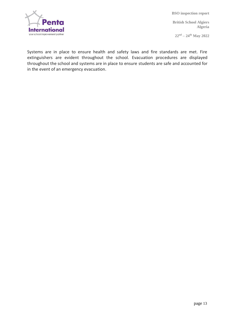

**British School Algiers Algeria**

**22nd – 24th May 2022**

Systems are in place to ensure health and safety laws and fire standards are met. Fire extinguishers are evident throughout the school. Evacuation procedures are displayed throughout the school and systems are in place to ensure students are safe and accounted for in the event of an emergency evacuation.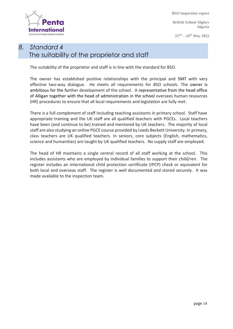Internati your school improvement part  **BSO inspection report**

**British School Algiers Algeria**

**22nd – 24th May 2022**

# *8. Standard 4* The suitability of the proprietor and staff

The suitability of the proprietor and staff is in line with the standard for BSO.

The owner has established positive relationships with the principal and SMT with very effective two-way dialogue. He meets all requirements for BSO schools. The owner is ambitious for the further development of the school. A representative from the head office of Alligan together with the head of administration in the school oversees human resources (HR) procedures to ensure that all local requirements and legislation are fully met.

There is a full complement of staff including teaching assistants in primary school. Staff have appropriate training and the UK staff are all qualified teachers with PGCEs. Local teachers have been (and continue to be) trained and mentored by UK teachers. The majority of local staff are also studying an online PGCE course provided by Leeds Beckett University. In primary, class teachers are UK qualified teachers. In seniors, core subjects (English, mathematics, science and humanities) are taught by UK qualified teachers. No supply staff are employed.

The head of HR maintains a single central record of all staff working at the school. This includes assistants who are employed by individual families to support their child/ren. The register includes an international child protection certificate (IPCP) check or equivalent for both local and overseas staff. The register is well documented and stored securely. It was made available to the inspection team.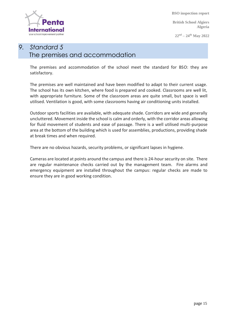

**British School Algiers Algeria**

**22nd – 24th May 2022**

# *9. Standard 5* The premises and accommodation

The premises and accommodation of the school meet the standard for BSO: they are satisfactory.

The premises are well maintained and have been modified to adapt to their current usage. The school has its own kitchen, where food is prepared and cooked. Classrooms are well lit, with appropriate furniture. Some of the classroom areas are quite small, but space is well utilised. Ventilation is good, with some classrooms having air conditioning units installed.

Outdoor sports facilities are available, with adequate shade. Corridors are wide and generally uncluttered. Movement inside the school is calm and orderly, with the corridor areas allowing for fluid movement of students and ease of passage. There is a well utilised multi-purpose area at the bottom of the building which is used for assemblies, productions, providing shade at break times and when required.

There are no obvious hazards, security problems, or significant lapses in hygiene.

Cameras are located at points around the campus and there is 24-hour security on site. There are regular maintenance checks carried out by the management team. Fire alarms and emergency equipment are installed throughout the campus: regular checks are made to ensure they are in good working condition.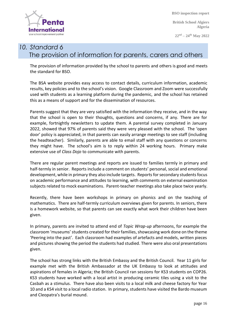

**British School Algiers Algeria**

**22nd – 24th May 2022**

# *10. Standard 6* The provision of information for parents, carers and others

The provision of information provided by the school to parents and others is good and meets the standard for BSO.

The BSA website provides easy access to contact details, curriculum information, academic results, key policies and to the school's vision. Google Classroom and Zoom were successfully used with students as a learning platform during the pandemic, and the school has retained this as a means of support and for the dissemination of resources.

Parents suggest that they are very satisfied with the information they receive, and in the way that the school is open to their thoughts, questions and concerns, if any. There are for example, fortnightly newsletters to update them. A parental survey completed in January 2022, showed that 97% of parents said they were very pleased with the school. The 'open door' policy is appreciated, in that parents can easily arrange meetings to see staff (including the headteacher). Similarly, parents are able to email staff with any questions or concerns they might have. The school's aim is to reply within 24 working hours. Primary make extensive use of *Class Dojo* to communicate with parents.

There are regular parent meetings and reports are issued to families termly in primary and half-termly in senior. Reports include a comment on students' personal, social and emotional development, while in primary they also include targets. Reports for secondary students focus on academic performance and attitudes to learning, with comments on external examination subjects related to mock examinations. Parent-teacher meetings also take place twice yearly.

Recently, there have been workshops in primary on phonics and on the teaching of mathematics. There are half-termly curriculum overviews given for parents. In seniors, there is a homework website, so that parents can see exactly what work their children have been given.

In primary, parents are invited to attend end of *Topic Wrap-up* afternoons, for example the classroom 'museums' students created for their families, showcasing work done on the theme 'Peering into the past'. Each classroom had examples of artefacts and models, written pieces and pictures showing the period the students had studied. There were also oral presentations given.

The school has strong links with the British Embassy and the British Council. Year 11 girls for example met with the British Ambassador at the UK Embassy to look at attitudes and aspirations of females in Algeria; the British Council ran sessions for KS3 students on COP26. KS3 students have worked with a local artist in producing ceramic tiles using a visit to the Casbah as a stimulus. There have also been visits to a local milk and cheese factory for Year 10 and a KS4 visit to a local radio station. In primary, students have visited the Bardo museum and Cleopatra's burial mound.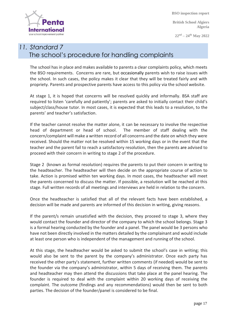

**British School Algiers Algeria**

**22nd – 24th May 2022**

# *11. Standard 7* The school's procedure for handling complaints

The school has in place and makes available to parents a clear complaints policy, which meets the BSO requirements. Concerns are rare, but occasionally parents wish to raise issues with the school. In such cases, the policy makes it clear that they will be treated fairly and with propriety. Parents and prospective parents have access to this policy via the school website.

At stage 1, it is hoped that concerns will be resolved quickly and informally. BSA staff are required to listen 'carefully and patiently'; parents are asked to initially contact their child's subject/class/house tutor. In most cases, it is expected that this leads to a resolution, to the parents' and teacher's satisfaction.

If the teacher cannot resolve the matter alone, it can be necessary to involve the respective head of department or head of school. The member of staff dealing with the concern/complaint will make a written record of all concerns and the date on which they were received. Should the matter not be resolved within 15 working days or in the event that the teacher and the parent fail to reach a satisfactory resolution, then the parents are advised to proceed with their concern in writing to stage 2 of the procedure.

Stage 2 (known as formal resolution) requires the parents to put their concern in writing to the headteacher. The headteacher will then decide on the appropriate course of action to take. Action is promised within ten working days. In most cases, the headteacher will meet the parents concerned to discuss the matter. If possible, a resolution will be reached at this stage. Full written records of all meetings and interviews are held in relation to the concern.

Once the headteacher is satisfied that all of the relevant facts have been established, a decision will be made and parents are informed of this decision in writing, giving reasons.

If the parent/s remain unsatisfied with the decision, they proceed to stage 3, where they would contact the founder and director of the company to which the school belongs. Stage 3 is a formal hearing conducted by the founder and a panel. The panel would be 3 persons who have not been directly involved in the matters detailed by the complainant and would include at least one person who is independent of the management and running of the school.

At this stage, the headteacher would be asked to submit the school's case in writing; this would also be sent to the parent by the company's administrator. Once each party has received the other party's statement, further written comments (if needed) would be sent to the founder via the company's administrator, within 5 days of receiving them. The parents and headteacher may then attend the discussions that take place at the panel hearing. The founder is required to deal with the complaint within 20 working days of receiving the complaint. The outcome (findings and any recommendations) would then be sent to both parties. The decision of the founder/panel is considered to be final.